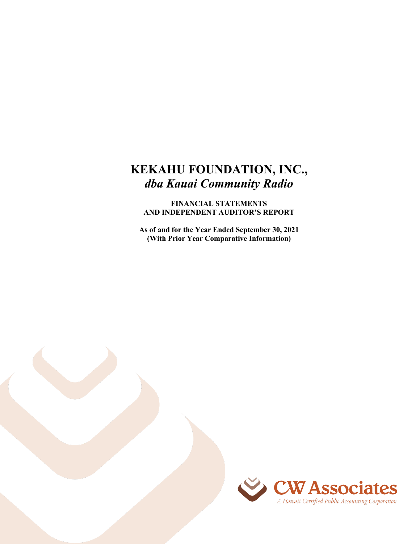**FINANCIAL STATEMENTS AND INDEPENDENT AUDITOR'S REPORT**

**As of and for the Year Ended September 30, 2021 (With Prior Year Comparative Information)** 

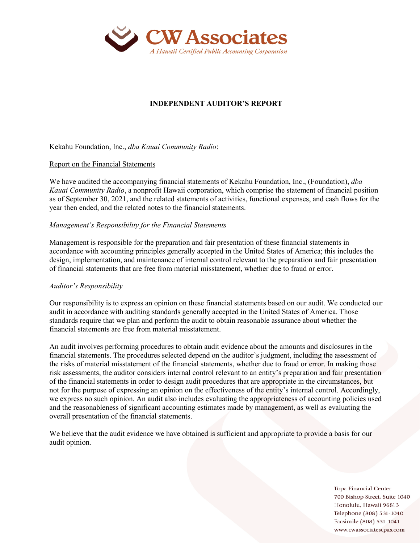

# **INDEPENDENT AUDITOR'S REPORT**

Kekahu Foundation, Inc., *dba Kauai Community Radio*:

# Report on the Financial Statements

We have audited the accompanying financial statements of Kekahu Foundation, Inc., (Foundation), *dba Kauai Community Radio*, a nonprofit Hawaii corporation, which comprise the statement of financial position as of September 30, 2021, and the related statements of activities, functional expenses, and cash flows for the year then ended, and the related notes to the financial statements.

# *Management's Responsibility for the Financial Statements*

Management is responsible for the preparation and fair presentation of these financial statements in accordance with accounting principles generally accepted in the United States of America; this includes the design, implementation, and maintenance of internal control relevant to the preparation and fair presentation of financial statements that are free from material misstatement, whether due to fraud or error.

# *Auditor's Responsibility*

Our responsibility is to express an opinion on these financial statements based on our audit. We conducted our audit in accordance with auditing standards generally accepted in the United States of America. Those standards require that we plan and perform the audit to obtain reasonable assurance about whether the financial statements are free from material misstatement.

An audit involves performing procedures to obtain audit evidence about the amounts and disclosures in the financial statements. The procedures selected depend on the auditor's judgment, including the assessment of the risks of material misstatement of the financial statements, whether due to fraud or error. In making those risk assessments, the auditor considers internal control relevant to an entity's preparation and fair presentation of the financial statements in order to design audit procedures that are appropriate in the circumstances, but not for the purpose of expressing an opinion on the effectiveness of the entity's internal control. Accordingly, we express no such opinion. An audit also includes evaluating the appropriateness of accounting policies used and the reasonableness of significant accounting estimates made by management, as well as evaluating the overall presentation of the financial statements.

We believe that the audit evidence we have obtained is sufficient and appropriate to provide a basis for our audit opinion.

> Topa Financial Center 700 Bishop Street, Suite 1040 Honolulu, Hawaii 96813 Telephone (808) 531-1040 Facsimile (808) 531-1041 www.cwassociatescpas.com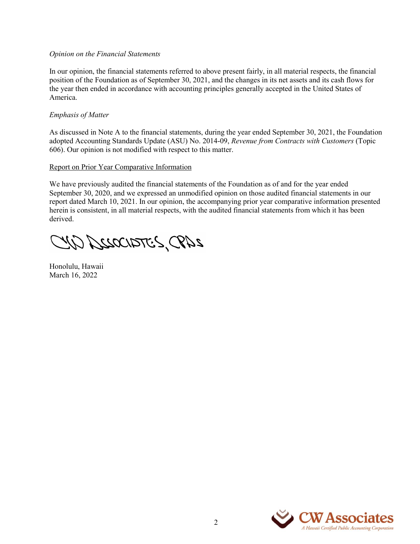#### *Opinion on the Financial Statements*

In our opinion, the financial statements referred to above present fairly, in all material respects, the financial position of the Foundation as of September 30, 2021, and the changes in its net assets and its cash flows for the year then ended in accordance with accounting principles generally accepted in the United States of America.

# *Emphasis of Matter*

As discussed in Note A to the financial statements, during the year ended September 30, 2021, the Foundation adopted Accounting Standards Update (ASU) No. 2014-09, *Revenue from Contracts with Customers* (Topic 606). Our opinion is not modified with respect to this matter.

#### Report on Prior Year Comparative Information

We have previously audited the financial statements of the Foundation as of and for the year ended September 30, 2020, and we expressed an unmodified opinion on those audited financial statements in our report dated March 10, 2021. In our opinion, the accompanying prior year comparative information presented herein is consistent, in all material respects, with the audited financial statements from which it has been derived.

CID DECOCIDTES, CRDS

Honolulu, Hawaii March 16, 2022

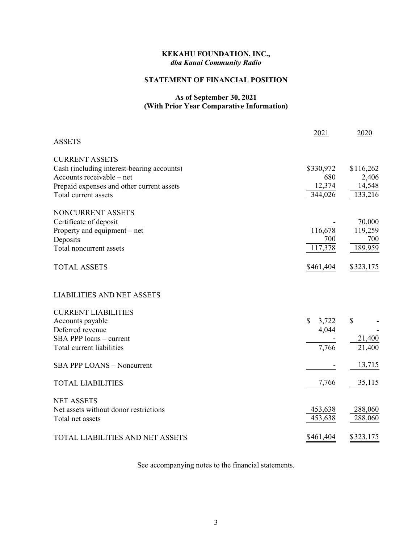# **STATEMENT OF FINANCIAL POSITION**

# **As of September 30, 2021 (With Prior Year Comparative Information)**

|                                            | 2021                  | 2020      |
|--------------------------------------------|-----------------------|-----------|
| <b>ASSETS</b>                              |                       |           |
| <b>CURRENT ASSETS</b>                      |                       |           |
| Cash (including interest-bearing accounts) | \$330,972             | \$116,262 |
| Accounts receivable – net                  | 680                   | 2,406     |
| Prepaid expenses and other current assets  | 12,374                | 14,548    |
| Total current assets                       | 344,026               | 133,216   |
| NONCURRENT ASSETS                          |                       |           |
| Certificate of deposit                     |                       | 70,000    |
| Property and equipment – net               | 116,678               | 119,259   |
| Deposits                                   | 700                   | 700       |
| Total noncurrent assets                    | 117,378               | 189,959   |
| <b>TOTAL ASSETS</b>                        | \$461,404             | \$323,175 |
| <b>LIABILITIES AND NET ASSETS</b>          |                       |           |
| <b>CURRENT LIABILITIES</b>                 |                       |           |
| Accounts payable                           | $\mathbb{S}$<br>3,722 | \$        |
| Deferred revenue                           | 4,044                 |           |
| SBA PPP loans - current                    |                       | 21,400    |
| Total current liabilities                  | 7,766                 | 21,400    |
| SBA PPP LOANS - Noncurrent                 |                       | 13,715    |
| <b>TOTAL LIABILITIES</b>                   | 7,766                 | 35,115    |
| <b>NET ASSETS</b>                          |                       |           |
| Net assets without donor restrictions      | 453,638               | 288,060   |
| Total net assets                           | 453,638               | 288,060   |
| TOTAL LIABILITIES AND NET ASSETS           | \$461,404             | \$323,175 |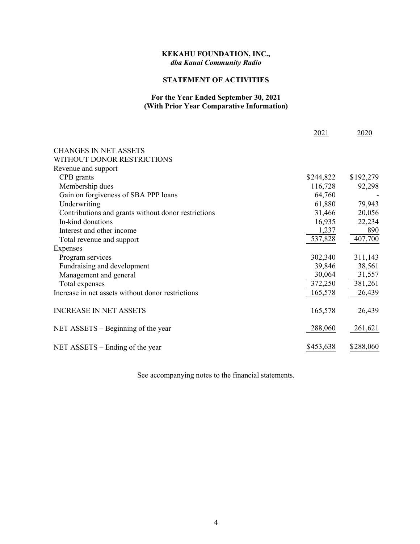# **STATEMENT OF ACTIVITIES**

# **For the Year Ended September 30, 2021 (With Prior Year Comparative Information)**

|                                                     | 2021      | 2020      |
|-----------------------------------------------------|-----------|-----------|
| <b>CHANGES IN NET ASSETS</b>                        |           |           |
| WITHOUT DONOR RESTRICTIONS                          |           |           |
| Revenue and support                                 |           |           |
| CPB grants                                          | \$244,822 | \$192,279 |
| Membership dues                                     | 116,728   | 92,298    |
| Gain on forgiveness of SBA PPP loans                | 64,760    |           |
| Underwriting                                        | 61,880    | 79,943    |
| Contributions and grants without donor restrictions | 31,466    | 20,056    |
| In-kind donations                                   | 16,935    | 22,234    |
| Interest and other income                           | 1,237     | 890       |
| Total revenue and support                           | 537,828   | 407,700   |
| Expenses                                            |           |           |
| Program services                                    | 302,340   | 311,143   |
| Fundraising and development                         | 39,846    | 38,561    |
| Management and general                              | 30,064    | 31,557    |
| Total expenses                                      | 372,250   | 381,261   |
| Increase in net assets without donor restrictions   | 165,578   | 26,439    |
| <b>INCREASE IN NET ASSETS</b>                       | 165,578   | 26,439    |
| NET ASSETS – Beginning of the year                  | 288,060   | 261,621   |
| NET ASSETS – Ending of the year                     | \$453,638 | \$288,060 |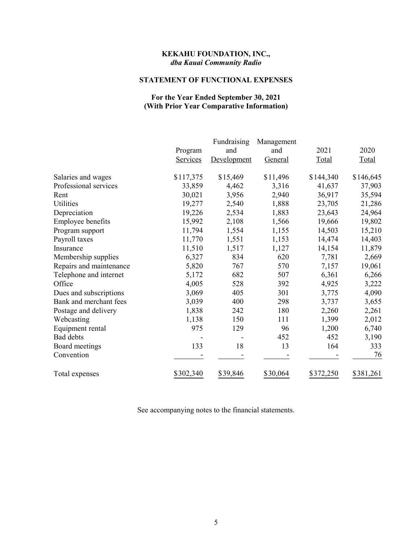# **STATEMENT OF FUNCTIONAL EXPENSES**

# **For the Year Ended September 30, 2021 (With Prior Year Comparative Information)**

|                         |           | Fundraising | Management |           |           |
|-------------------------|-----------|-------------|------------|-----------|-----------|
|                         | Program   | and         | and        | 2021      | 2020      |
|                         | Services  | Development | General    | Total     | Total     |
| Salaries and wages      | \$117,375 | \$15,469    | \$11,496   | \$144,340 | \$146,645 |
| Professional services   | 33,859    | 4,462       | 3,316      | 41,637    | 37,903    |
| Rent                    | 30,021    | 3,956       | 2,940      | 36,917    | 35,594    |
| Utilities               | 19,277    | 2,540       | 1,888      | 23,705    | 21,286    |
| Depreciation            | 19,226    | 2,534       | 1,883      | 23,643    | 24,964    |
| Employee benefits       | 15,992    | 2,108       | 1,566      | 19,666    | 19,802    |
| Program support         | 11,794    | 1,554       | 1,155      | 14,503    | 15,210    |
| Payroll taxes           | 11,770    | 1,551       | 1,153      | 14,474    | 14,403    |
| Insurance               | 11,510    | 1,517       | 1,127      | 14,154    | 11,879    |
| Membership supplies     | 6,327     | 834         | 620        | 7,781     | 2,669     |
| Repairs and maintenance | 5,820     | 767         | 570        | 7,157     | 19,061    |
| Telephone and internet  | 5,172     | 682         | 507        | 6,361     | 6,266     |
| Office                  | 4,005     | 528         | 392        | 4,925     | 3,222     |
| Dues and subscriptions  | 3,069     | 405         | 301        | 3,775     | 4,090     |
| Bank and merchant fees  | 3,039     | 400         | 298        | 3,737     | 3,655     |
| Postage and delivery    | 1,838     | 242         | 180        | 2,260     | 2,261     |
| Webcasting              | 1,138     | 150         | 111        | 1,399     | 2,012     |
| Equipment rental        | 975       | 129         | 96         | 1,200     | 6,740     |
| Bad debts               |           |             | 452        | 452       | 3,190     |
| Board meetings          | 133       | 18          | 13         | 164       | 333       |
| Convention              |           |             |            |           | 76        |
| Total expenses          | \$302,340 | \$39,846    | \$30,064   | \$372,250 | \$381,261 |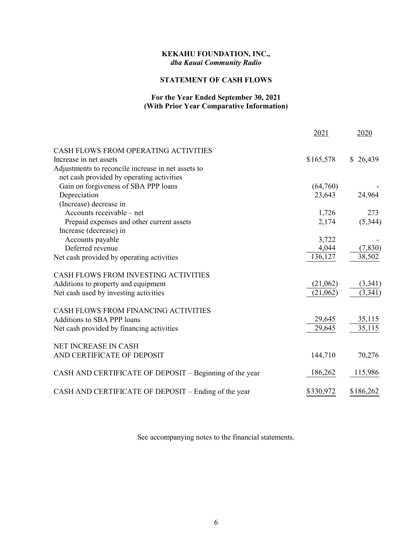# **STATEMENT OF CASH FLOWS**

# **For the Year Ended September 30, 2021 (With Prior Year Comparative Information)**

|                                                         | 2021      | 2020      |
|---------------------------------------------------------|-----------|-----------|
| CASH FLOWS FROM OPERATING ACTIVITIES                    |           |           |
| Increase in net assets                                  | \$165,578 | \$26,439  |
| Adjustments to reconcile increase in net assets to      |           |           |
| net cash provided by operating activities               |           |           |
| Gain on forgiveness of SBA PPP loans                    | (64,760)  |           |
| Depreciation                                            | 23,643    | 24,964    |
| (Increase) decrease in                                  |           |           |
| Accounts receivable – net                               | 1,726     | 273       |
| Prepaid expenses and other current assets               | 2,174     | (5, 344)  |
| Increase (decrease) in                                  |           |           |
| Accounts payable                                        | 3,722     |           |
| Deferred revenue                                        | 4,044     | (7, 830)  |
| Net cash provided by operating activities               | 136,127   | 38,502    |
| CASH FLOWS FROM INVESTING ACTIVITIES                    |           |           |
| Additions to property and equipment                     | (21,062)  | (3,341)   |
| Net cash used by investing activities                   | (21,062)  | (3,341)   |
| CASH FLOWS FROM FINANCING ACTIVITIES                    |           |           |
| Additions to SBA PPP loans                              | 29,645    | 35,115    |
| Net cash provided by financing activities               | 29,645    | 35,115    |
| <b>NET INCREASE IN CASH</b>                             |           |           |
| AND CERTIFICATE OF DEPOSIT                              | 144,710   | 70,276    |
| CASH AND CERTIFICATE OF DEPOSIT – Beginning of the year | 186,262   | 115,986   |
| CASH AND CERTIFICATE OF DEPOSIT – Ending of the year    | \$330,972 | \$186,262 |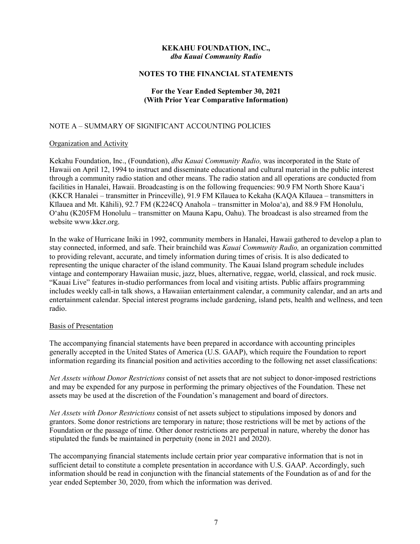# **NOTES TO THE FINANCIAL STATEMENTS**

# **For the Year Ended September 30, 2021 (With Prior Year Comparative Information)**

# NOTE A – SUMMARY OF SIGNIFICANT ACCOUNTING POLICIES

#### Organization and Activity

Kekahu Foundation, Inc., (Foundation), *dba Kauai Community Radio,* was incorporated in the State of Hawaii on April 12, 1994 to instruct and disseminate educational and cultural material in the public interest through a community radio station and other means. The radio station and all operations are conducted from facilities in Hanalei, Hawaii. Broadcasting is on the following frequencies: 90.9 FM North Shore Kaua'i (KKCR Hanalei – transmitter in Princeville), 91.9 FM Kīlauea to Kekaha (KAQA Kīlauea – transmitters in Kīlauea and Mt. Kāhili), 92.7 FM (K224CQ Anahola – transmitter in Moloa'a), and 88.9 FM Honolulu, O'ahu (K205FM Honolulu – transmitter on Mauna Kapu, Oahu). The broadcast is also streamed from the website www.kkcr.org.

In the wake of Hurricane Iniki in 1992, community members in Hanalei, Hawaii gathered to develop a plan to stay connected, informed, and safe. Their brainchild was *Kauai Community Radio,* an organization committed to providing relevant, accurate, and timely information during times of crisis. It is also dedicated to representing the unique character of the island community. The Kauai Island program schedule includes vintage and contemporary Hawaiian music, jazz, blues, alternative, reggae, world, classical, and rock music. "Kauai Live" features in-studio performances from local and visiting artists. Public affairs programming includes weekly call-in talk shows, a Hawaiian entertainment calendar, a community calendar, and an arts and entertainment calendar. Special interest programs include gardening, island pets, health and wellness, and teen radio.

#### Basis of Presentation

The accompanying financial statements have been prepared in accordance with accounting principles generally accepted in the United States of America (U.S. GAAP), which require the Foundation to report information regarding its financial position and activities according to the following net asset classifications:

*Net Assets without Donor Restrictions* consist of net assets that are not subject to donor-imposed restrictions and may be expended for any purpose in performing the primary objectives of the Foundation. These net assets may be used at the discretion of the Foundation's management and board of directors.

*Net Assets with Donor Restrictions* consist of net assets subject to stipulations imposed by donors and grantors. Some donor restrictions are temporary in nature; those restrictions will be met by actions of the Foundation or the passage of time. Other donor restrictions are perpetual in nature, whereby the donor has stipulated the funds be maintained in perpetuity (none in 2021 and 2020).

The accompanying financial statements include certain prior year comparative information that is not in sufficient detail to constitute a complete presentation in accordance with U.S. GAAP. Accordingly, such information should be read in conjunction with the financial statements of the Foundation as of and for the year ended September 30, 2020, from which the information was derived.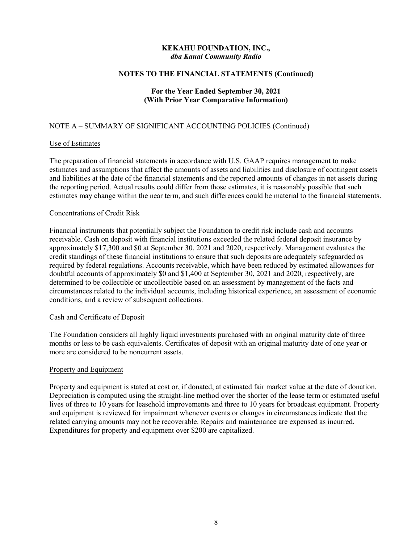# **NOTES TO THE FINANCIAL STATEMENTS (Continued)**

# **For the Year Ended September 30, 2021 (With Prior Year Comparative Information)**

# NOTE A – SUMMARY OF SIGNIFICANT ACCOUNTING POLICIES (Continued)

#### Use of Estimates

The preparation of financial statements in accordance with U.S. GAAP requires management to make estimates and assumptions that affect the amounts of assets and liabilities and disclosure of contingent assets and liabilities at the date of the financial statements and the reported amounts of changes in net assets during the reporting period. Actual results could differ from those estimates, it is reasonably possible that such estimates may change within the near term, and such differences could be material to the financial statements.

#### Concentrations of Credit Risk

Financial instruments that potentially subject the Foundation to credit risk include cash and accounts receivable. Cash on deposit with financial institutions exceeded the related federal deposit insurance by approximately \$17,300 and \$0 at September 30, 2021 and 2020, respectively. Management evaluates the credit standings of these financial institutions to ensure that such deposits are adequately safeguarded as required by federal regulations. Accounts receivable, which have been reduced by estimated allowances for doubtful accounts of approximately \$0 and \$1,400 at September 30, 2021 and 2020, respectively, are determined to be collectible or uncollectible based on an assessment by management of the facts and circumstances related to the individual accounts, including historical experience, an assessment of economic conditions, and a review of subsequent collections.

# Cash and Certificate of Deposit

The Foundation considers all highly liquid investments purchased with an original maturity date of three months or less to be cash equivalents. Certificates of deposit with an original maturity date of one year or more are considered to be noncurrent assets.

#### Property and Equipment

Property and equipment is stated at cost or, if donated, at estimated fair market value at the date of donation. Depreciation is computed using the straight-line method over the shorter of the lease term or estimated useful lives of three to 10 years for leasehold improvements and three to 10 years for broadcast equipment. Property and equipment is reviewed for impairment whenever events or changes in circumstances indicate that the related carrying amounts may not be recoverable. Repairs and maintenance are expensed as incurred. Expenditures for property and equipment over \$200 are capitalized.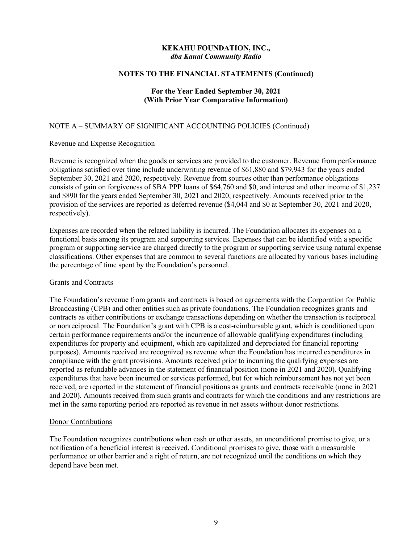# **NOTES TO THE FINANCIAL STATEMENTS (Continued)**

# **For the Year Ended September 30, 2021 (With Prior Year Comparative Information)**

# NOTE A – SUMMARY OF SIGNIFICANT ACCOUNTING POLICIES (Continued)

#### Revenue and Expense Recognition

Revenue is recognized when the goods or services are provided to the customer. Revenue from performance obligations satisfied over time include underwriting revenue of \$61,880 and \$79,943 for the years ended September 30, 2021 and 2020, respectively. Revenue from sources other than performance obligations consists of gain on forgiveness of SBA PPP loans of \$64,760 and \$0, and interest and other income of \$1,237 and \$890 for the years ended September 30, 2021 and 2020, respectively. Amounts received prior to the provision of the services are reported as deferred revenue (\$4,044 and \$0 at September 30, 2021 and 2020, respectively).

Expenses are recorded when the related liability is incurred. The Foundation allocates its expenses on a functional basis among its program and supporting services. Expenses that can be identified with a specific program or supporting service are charged directly to the program or supporting service using natural expense classifications. Other expenses that are common to several functions are allocated by various bases including the percentage of time spent by the Foundation's personnel.

# Grants and Contracts

The Foundation's revenue from grants and contracts is based on agreements with the Corporation for Public Broadcasting (CPB) and other entities such as private foundations. The Foundation recognizes grants and contracts as either contributions or exchange transactions depending on whether the transaction is reciprocal or nonreciprocal. The Foundation's grant with CPB is a cost-reimbursable grant, which is conditioned upon certain performance requirements and/or the incurrence of allowable qualifying expenditures (including expenditures for property and equipment, which are capitalized and depreciated for financial reporting purposes). Amounts received are recognized as revenue when the Foundation has incurred expenditures in compliance with the grant provisions. Amounts received prior to incurring the qualifying expenses are reported as refundable advances in the statement of financial position (none in 2021 and 2020). Qualifying expenditures that have been incurred or services performed, but for which reimbursement has not yet been received, are reported in the statement of financial positions as grants and contracts receivable (none in 2021 and 2020). Amounts received from such grants and contracts for which the conditions and any restrictions are met in the same reporting period are reported as revenue in net assets without donor restrictions.

# Donor Contributions

The Foundation recognizes contributions when cash or other assets, an unconditional promise to give, or a notification of a beneficial interest is received. Conditional promises to give, those with a measurable performance or other barrier and a right of return, are not recognized until the conditions on which they depend have been met.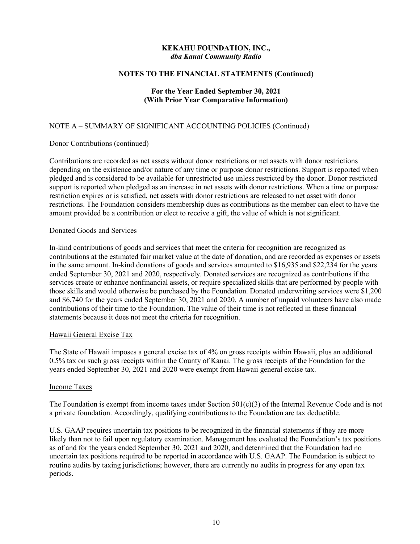# **NOTES TO THE FINANCIAL STATEMENTS (Continued)**

# **For the Year Ended September 30, 2021 (With Prior Year Comparative Information)**

# NOTE A – SUMMARY OF SIGNIFICANT ACCOUNTING POLICIES (Continued)

#### Donor Contributions (continued)

Contributions are recorded as net assets without donor restrictions or net assets with donor restrictions depending on the existence and/or nature of any time or purpose donor restrictions. Support is reported when pledged and is considered to be available for unrestricted use unless restricted by the donor. Donor restricted support is reported when pledged as an increase in net assets with donor restrictions. When a time or purpose restriction expires or is satisfied, net assets with donor restrictions are released to net asset with donor restrictions. The Foundation considers membership dues as contributions as the member can elect to have the amount provided be a contribution or elect to receive a gift, the value of which is not significant.

#### Donated Goods and Services

In-kind contributions of goods and services that meet the criteria for recognition are recognized as contributions at the estimated fair market value at the date of donation, and are recorded as expenses or assets in the same amount. In-kind donations of goods and services amounted to \$16,935 and \$22,234 for the years ended September 30, 2021 and 2020, respectively. Donated services are recognized as contributions if the services create or enhance nonfinancial assets, or require specialized skills that are performed by people with those skills and would otherwise be purchased by the Foundation. Donated underwriting services were \$1,200 and \$6,740 for the years ended September 30, 2021 and 2020. A number of unpaid volunteers have also made contributions of their time to the Foundation. The value of their time is not reflected in these financial statements because it does not meet the criteria for recognition.

# Hawaii General Excise Tax

The State of Hawaii imposes a general excise tax of 4% on gross receipts within Hawaii, plus an additional 0.5% tax on such gross receipts within the County of Kauai. The gross receipts of the Foundation for the years ended September 30, 2021 and 2020 were exempt from Hawaii general excise tax.

#### Income Taxes

The Foundation is exempt from income taxes under Section  $501(c)(3)$  of the Internal Revenue Code and is not a private foundation. Accordingly, qualifying contributions to the Foundation are tax deductible.

U.S. GAAP requires uncertain tax positions to be recognized in the financial statements if they are more likely than not to fail upon regulatory examination. Management has evaluated the Foundation's tax positions as of and for the years ended September 30, 2021 and 2020, and determined that the Foundation had no uncertain tax positions required to be reported in accordance with U.S. GAAP. The Foundation is subject to routine audits by taxing jurisdictions; however, there are currently no audits in progress for any open tax periods.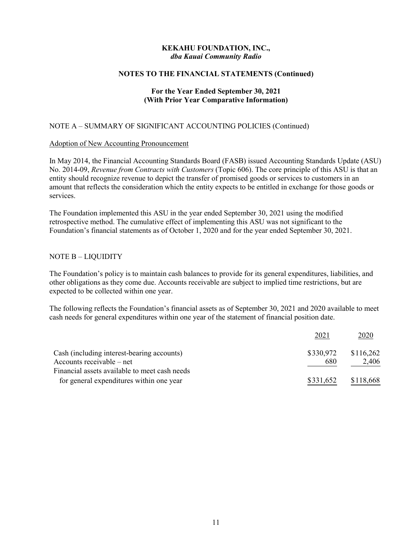# **NOTES TO THE FINANCIAL STATEMENTS (Continued)**

# **For the Year Ended September 30, 2021 (With Prior Year Comparative Information)**

# NOTE A – SUMMARY OF SIGNIFICANT ACCOUNTING POLICIES (Continued)

# Adoption of New Accounting Pronouncement

In May 2014, the Financial Accounting Standards Board (FASB) issued Accounting Standards Update (ASU) No. 2014-09, *Revenue from Contracts with Customers* (Topic 606). The core principle of this ASU is that an entity should recognize revenue to depict the transfer of promised goods or services to customers in an amount that reflects the consideration which the entity expects to be entitled in exchange for those goods or services.

The Foundation implemented this ASU in the year ended September 30, 2021 using the modified retrospective method. The cumulative effect of implementing this ASU was not significant to the Foundation's financial statements as of October 1, 2020 and for the year ended September 30, 2021.

# NOTE B – LIQUIDITY

The Foundation's policy is to maintain cash balances to provide for its general expenditures, liabilities, and other obligations as they come due. Accounts receivable are subject to implied time restrictions, but are expected to be collected within one year.

The following reflects the Foundation's financial assets as of September 30, 2021 and 2020 available to meet cash needs for general expenditures within one year of the statement of financial position date.

|                                                                                           | 2021      | 2020      |
|-------------------------------------------------------------------------------------------|-----------|-----------|
| Cash (including interest-bearing accounts)                                                | \$330,972 | \$116,262 |
| Accounts receivable $-$ net                                                               | 680       | 2,406     |
| Financial assets available to meet cash needs<br>for general expenditures within one year | \$331,652 | \$118,668 |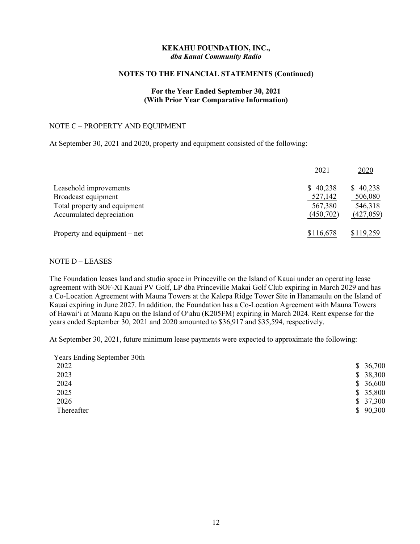# **NOTES TO THE FINANCIAL STATEMENTS (Continued)**

# **For the Year Ended September 30, 2021 (With Prior Year Comparative Information)**

#### NOTE C – PROPERTY AND EQUIPMENT

At September 30, 2021 and 2020, property and equipment consisted of the following:

|                                | 2021      | 2020      |
|--------------------------------|-----------|-----------|
| Leasehold improvements         | \$40,238  | \$40,238  |
| Broadcast equipment            | 527,142   | 506,080   |
| Total property and equipment   | 567,380   | 546,318   |
| Accumulated depreciation       | (450,702) | (427,059) |
| Property and equipment $-$ net | \$116,678 | \$119,259 |

#### NOTE D – LEASES

The Foundation leases land and studio space in Princeville on the Island of Kauai under an operating lease agreement with SOF-XI Kauai PV Golf, LP dba Princeville Makai Golf Club expiring in March 2029 and has a Co-Location Agreement with Mauna Towers at the Kalepa Ridge Tower Site in Hanamaulu on the Island of Kauai expiring in June 2027. In addition, the Foundation has a Co-Location Agreement with Mauna Towers of Hawai'i at Mauna Kapu on the Island of O'ahu (K205FM) expiring in March 2024. Rent expense for the years ended September 30, 2021 and 2020 amounted to \$36,917 and \$35,594, respectively.

At September 30, 2021, future minimum lease payments were expected to approximate the following:

| Years Ending September 30th |    |          |
|-----------------------------|----|----------|
| 2022                        |    | \$36,700 |
| 2023                        |    | \$38,300 |
| 2024                        |    | \$36,600 |
| 2025                        |    | \$35,800 |
| 2026                        |    | \$37,300 |
| Thereafter                  | S. | 90,300   |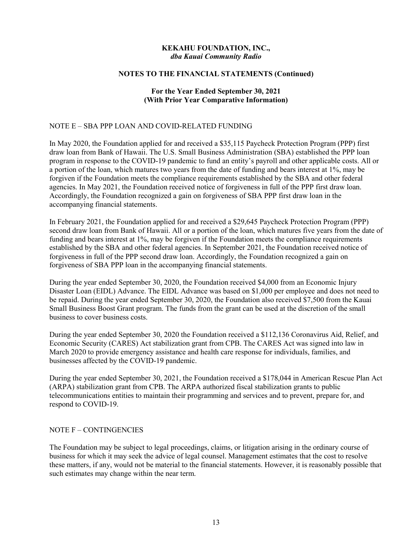# **NOTES TO THE FINANCIAL STATEMENTS (Continued)**

# **For the Year Ended September 30, 2021 (With Prior Year Comparative Information)**

# NOTE E – SBA PPP LOAN AND COVID-RELATED FUNDING

In May 2020, the Foundation applied for and received a \$35,115 Paycheck Protection Program (PPP) first draw loan from Bank of Hawaii. The U.S. Small Business Administration (SBA) established the PPP loan program in response to the COVID-19 pandemic to fund an entity's payroll and other applicable costs. All or a portion of the loan, which matures two years from the date of funding and bears interest at 1%, may be forgiven if the Foundation meets the compliance requirements established by the SBA and other federal agencies. In May 2021, the Foundation received notice of forgiveness in full of the PPP first draw loan. Accordingly, the Foundation recognized a gain on forgiveness of SBA PPP first draw loan in the accompanying financial statements.

In February 2021, the Foundation applied for and received a \$29,645 Paycheck Protection Program (PPP) second draw loan from Bank of Hawaii. All or a portion of the loan, which matures five years from the date of funding and bears interest at 1%, may be forgiven if the Foundation meets the compliance requirements established by the SBA and other federal agencies. In September 2021, the Foundation received notice of forgiveness in full of the PPP second draw loan. Accordingly, the Foundation recognized a gain on forgiveness of SBA PPP loan in the accompanying financial statements.

During the year ended September 30, 2020, the Foundation received \$4,000 from an Economic Injury Disaster Loan (EIDL) Advance. The EIDL Advance was based on \$1,000 per employee and does not need to be repaid. During the year ended September 30, 2020, the Foundation also received \$7,500 from the Kauai Small Business Boost Grant program. The funds from the grant can be used at the discretion of the small business to cover business costs.

During the year ended September 30, 2020 the Foundation received a \$112,136 Coronavirus Aid, Relief, and Economic Security (CARES) Act stabilization grant from CPB. The CARES Act was signed into law in March 2020 to provide emergency assistance and health care response for individuals, families, and businesses affected by the COVID-19 pandemic.

During the year ended September 30, 2021, the Foundation received a \$178,044 in American Rescue Plan Act (ARPA) stabilization grant from CPB. The ARPA authorized fiscal stabilization grants to public telecommunications entities to maintain their programming and services and to prevent, prepare for, and respond to COVID-19.

# NOTE F – CONTINGENCIES

The Foundation may be subject to legal proceedings, claims, or litigation arising in the ordinary course of business for which it may seek the advice of legal counsel. Management estimates that the cost to resolve these matters, if any, would not be material to the financial statements. However, it is reasonably possible that such estimates may change within the near term.